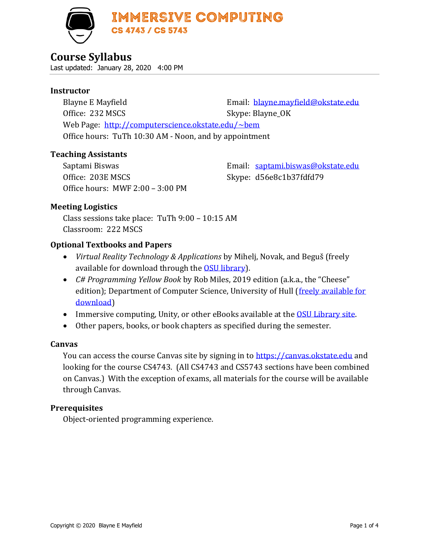

# **Course Syllabus**

Last updated: January 28, 2020 4:00 PM

## **Instructor**

Blayne E Mayfield **Email:** [blayne.mayfield@okstate.edu](mailto:blayne.mayfield@okstate.edu) Office: 232 MSCS Skype: Blayne\_OK Web Page: <http://computerscience.okstate.edu/~bem> Office hours: TuTh 10:30 AM - Noon, and by appointment

## **Teaching Assistants**

Office: 203E MSCS Skype: d56e8c1b37fdfd79 Office hours: MWF 2:00 – 3:00 PM

Saptami Biswas Email: [saptami.biswas@okstate.edu](mailto:saptami.biswas@okstate.edu)

# **Meeting Logistics**

Class sessions take place: TuTh 9:00 – 10:15 AM Classroom: 222 MSCS

# **Optional Textbooks and Papers**

- *Virtual Reality Technology & Applications* by Mihelj, Novak, and Beguš (freely available for download through the [OSU library\)](https://library.okstate.edu/).
- *C# Programming Yellow Book* by Rob Miles, 2019 edition (a.k.a., the "Cheese" edition); Department of Computer Science, University of Hull (freely available for [download\)](https://www.robmiles.com/c-yellow-book)
- Immersive computing, Unity, or other eBooks available at the [OSU Library site.](https://library.okstate.edu/)
- Other papers, books, or book chapters as specified during the semester.

# **Canvas**

You can access the course Canvas site by signing in to [https://canvas.okstate.edu](https://canvas.okstate.edu/) and looking for the course CS4743. (All CS4743 and CS5743 sections have been combined on Canvas.) With the exception of exams, all materials for the course will be available through Canvas.

# **Prerequisites**

Object-oriented programming experience.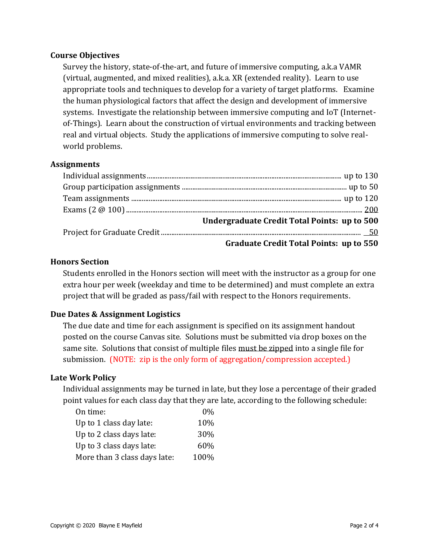## **Course Objectives**

Survey the history, state-of-the-art, and future of immersive computing, a.k.a VAMR (virtual, augmented, and mixed realities), a.k.a. XR (extended reality). Learn to use appropriate tools and techniques to develop for a variety of target platforms. Examine the human physiological factors that affect the design and development of immersive systems. Investigate the relationship between immersive computing and IoT (Internetof-Things). Learn about the construction of virtual environments and tracking between real and virtual objects. Study the applications of immersive computing to solve realworld problems.

## **Assignments**

| Undergraduate Credit Total Points: up to 500   |
|------------------------------------------------|
|                                                |
| <b>Graduate Credit Total Points: up to 550</b> |

## **Honors Section**

Students enrolled in the Honors section will meet with the instructor as a group for one extra hour per week (weekday and time to be determined) and must complete an extra project that will be graded as pass/fail with respect to the Honors requirements.

# **Due Dates & Assignment Logistics**

The due date and time for each assignment is specified on its assignment handout posted on the course Canvas site. Solutions must be submitted via drop boxes on the same site. Solutions that consist of multiple files must be zipped into a single file for submission. (NOTE: zip is the only form of aggregation/compression accepted.)

#### **Late Work Policy**

Individual assignments may be turned in late, but they lose a percentage of their graded point values for each class day that they are late, according to the following schedule:

| On time:                     | 0%   |
|------------------------------|------|
| Up to 1 class day late:      | 10%  |
| Up to 2 class days late:     | 30%  |
| Up to 3 class days late:     | 60%  |
| More than 3 class days late: | 100% |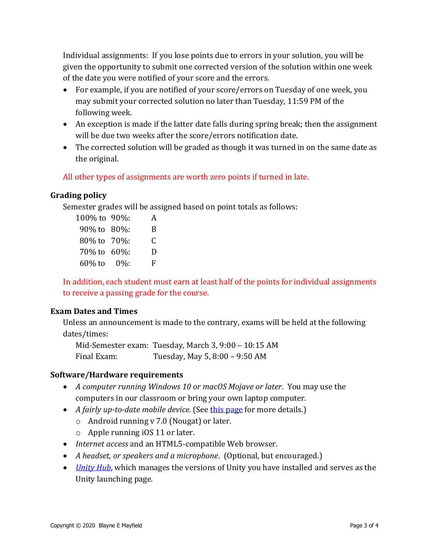Individual assignments: If you lose points due to errors in your solution, you will be given the opportunity to submit one corrected version of the solution within one week of the date you were notified of your score and the errors.

- For example, if you are notified of your score/errors on Tuesday of one week, you may submit your corrected solution no later than Tuesday, 11:59 PM of the following week.
- An exception is made if the latter date falls during spring break; then the assignment will be due two weeks after the score/errors notification date.
- The corrected solution will be graded as though it was turned in on the same date as the original.

# All other types of assignments are worth zero points if turned in late.

## **Grading policy**

Semester grades will be assigned based on point totals as follows:

| 100% to 90%:      | A |
|-------------------|---|
| 90% to 80%:       | B |
| 80% to 70%:       | C |
| 70\% to 60\%:     | D |
| $60\%$ to $0\%$ : | F |

In addition, each student must earn at least half of the points for individual assignments to receive a passing grade for the course.

#### **Exam Dates and Times**

Unless an announcement is made to the contrary, exams will be held at the following dates/times:

Mid-Semester exam: Tuesday, March 3, 9:00 – 10:15 AM Final Exam: Tuesday, May 5, 8:00 – 9:50 AM

#### **Software/Hardware requirements**

- *A computer running Windows 10 or macOS Mojave or later.* You may use the computers in our classroom or bring your own laptop computer.
- *A fairly up-to-date mobile device.* (See [this page](https://unity.com/solutions/mobile-ar) for more details.)
	- o Android running v 7.0 (Nougat) or later.
	- o Apple running iOS 11 or later.
- *Internet access* and an HTML5-compatible Web browser.
- *A headset, or speakers and a microphone*. (Optional, but encouraged.)
- *[Unity Hub](https://unity3d.com/get-unity/download)*, which manages the versions of Unity you have installed and serves as the Unity launching page.